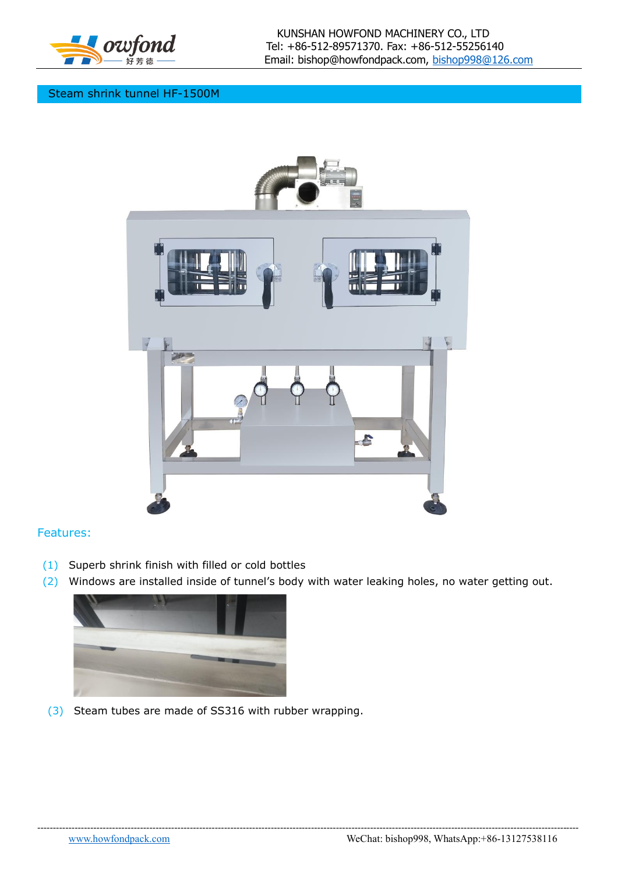

## Steam shrink tunnel HF-1500M



## Features:

- (1) Superb shrink finish with filled or cold bottles
- (2) Windows are installed inside of tunnel's body with water leaking holes, no water getting out.

------------------------------------------------------------------------------------------------------------------------------------------------------------------------------



(3) Steam tubes are made of SS316 with rubber wrapping.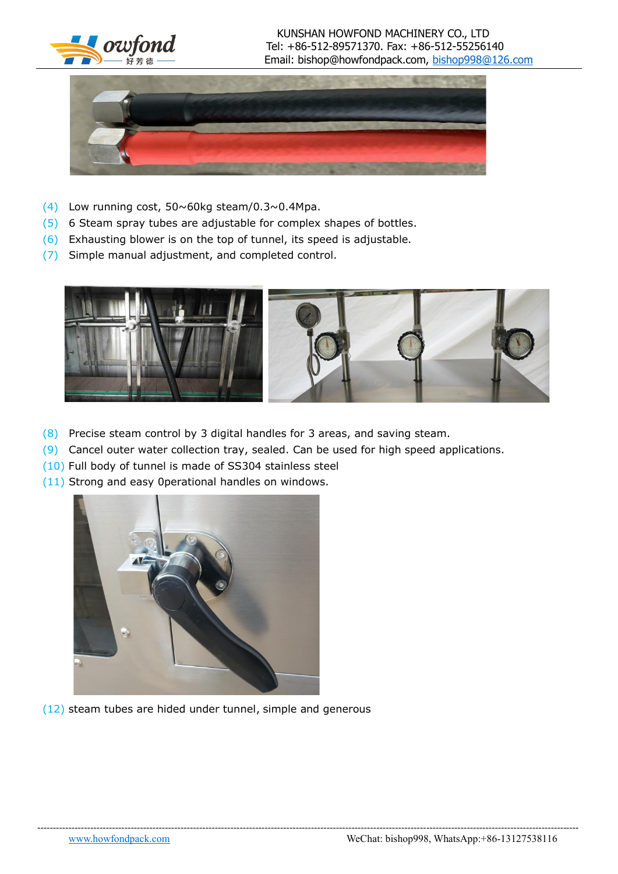

## KUNSHAN HOWFOND MACHINERY CO., LTD  $1$   $\sigma$ *wfond* Tel: +86-512-89571370. Fax: +86-512-55256140 Email: bishop@howfondpack.com, [bishop998@126.com](mailto:bishop998@126.com)



- (4) Low running cost,  $50 \sim 60$ kg steam/0.3 $\sim$ 0.4Mpa.
- (5) 6 Steam spray tubes are adjustable for complex shapes of bottles.
- (6) Exhausting blower is on the top of tunnel, its speed is adjustable.
- (7) Simple manual adjustment, and completed control.



------------------------------------------------------------------------------------------------------------------------------------------------------------------------------

- (8) Precise steam control by 3 digital handles for 3 areas, and saving steam.
- (9) Cancel outer water collection tray, sealed. Can be used for high speed applications.
- (10) Full body of tunnel is made of SS304 stainless steel
- (11) Strong and easy 0perational handles on windows.



(12) steam tubes are hided under tunnel, simple and generous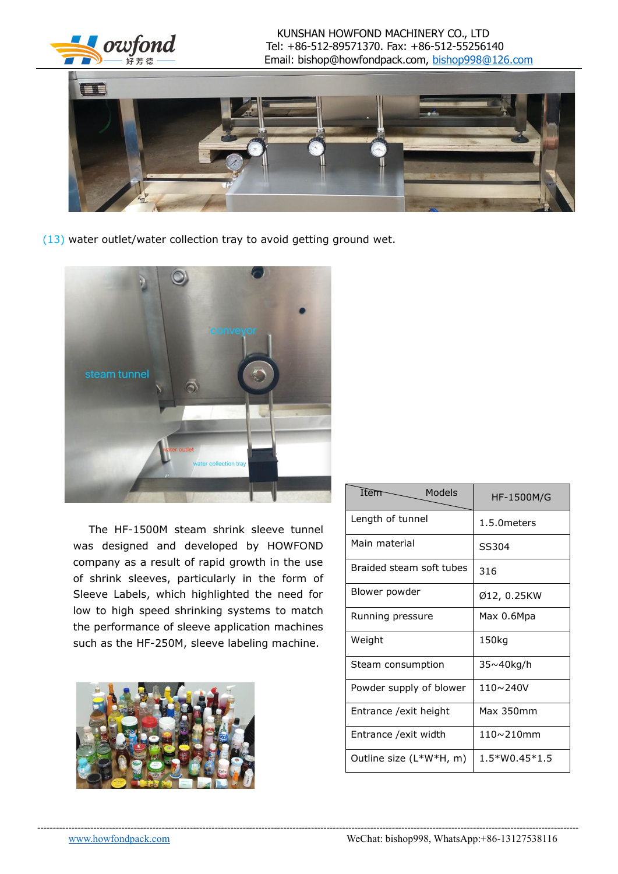



(13) water outlet/water collection tray to avoid getting ground wet.



The HF-1500M steam shrink sleeve tunnel was designed and developed by HOWFOND company as a result of rapid growth in the use of shrink sleeves, particularly in the form of Sleeve Labels, which highlighted the need for low to high speed shrinking systems to match the performance of sleeve application machines such as the HF-250M, sleeve labeling machine.



| Item $\sim$<br>Models    | HF-1500M/G          |
|--------------------------|---------------------|
| Length of tunnel         | 1.5.0 meters        |
| Main material            | SS304               |
| Braided steam soft tubes | 316                 |
| Blower powder            | Ø12, 0.25KW         |
| Running pressure         | Max 0.6Mpa          |
| Weight                   | 150kg               |
| Steam consumption        | 35~40kg/h           |
| Powder supply of blower  | 110~240V            |
| Entrance /exit height    | Max 350mm           |
| Entrance /exit width     | $110 \times 210$ mm |
| Outline size (L*W*H, m)  | $1.5*WO.45*1.5$     |